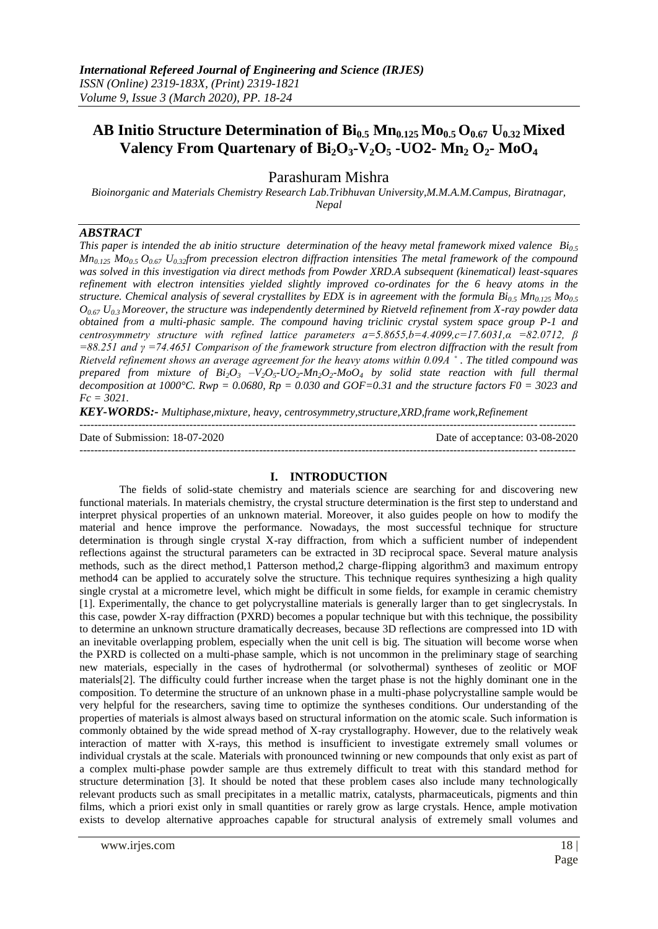# **AB Initio Structure Determination of Bi0.5 Mn0.125 Mo0.5 O0.67 U0.32 Mixed Valency From Quartenary of**  $Bi_2O_3$ **-V<sub>2</sub>O<sub>5</sub> -UO2- Mn<sub>2</sub> O<sub>2</sub>- MoO<sub>4</sub>**

Parashuram Mishra

*Bioinorganic and Materials Chemistry Research Lab.Tribhuvan University,M.M.A.M.Campus, Biratnagar, Nepal*

## *ABSTRACT*

*This paper is intended the ab initio structure determination of the heavy metal framework mixed valence Bi0.5 Mn0.125 Mo0.5 O0.67 U0.32from precession electron diffraction intensities The metal framework of the compound was solved in this investigation via direct methods from Powder XRD.A subsequent (kinematical) least-squares refinement with electron intensities yielded slightly improved co-ordinates for the 6 heavy atoms in the structure. Chemical analysis of several crystallites by EDX is in agreement with the formula Bi0.5 Mn0.125 Mo0.5 O0.67 U0.3 Moreover, the structure was independently determined by Rietveld refinement from X-ray powder data obtained from a multi-phasic sample. The compound having triclinic crystal system space group P-1 and centrosymmetry structure with refined lattice parameters a=5.8655,b=4.4099,c=17.6031,α =82.0712, β =88.251 and γ =74.4651 Comparison of the framework structure from electron diffraction with the result from Rietveld refinement shows an average agreement for the heavy atoms within 0.09A ˚ . The titled compound was prepared from mixture of*  $Bi_2O_3$  $-V_2O_5$ *-* $UO_2$ *-* $Mn_2O_2$ *-* $MoO_4$  *by solid state reaction with full thermal* decomposition at 1000°C. Rwp = 0.0680,  $Rp = 0.030$  and GOF=0.31 and the structure factors  $F0 = 3023$  and *Fc = 3021.* 

*KEY-WORDS:- Multiphase,mixture, heavy, centrosymmetry,structure,XRD,frame work,Refinement*

| Date of Submission: 18-07-2020 | Date of acceptance: 03-08-2020 |
|--------------------------------|--------------------------------|
|                                |                                |

## **I. INTRODUCTION**

The fields of solid-state chemistry and materials science are searching for and discovering new functional materials. In materials chemistry, the crystal structure determination is the first step to understand and interpret physical properties of an unknown material. Moreover, it also guides people on how to modify the material and hence improve the performance. Nowadays, the most successful technique for structure determination is through single crystal X-ray diffraction, from which a sufficient number of independent reflections against the structural parameters can be extracted in 3D reciprocal space. Several mature analysis methods, such as the direct method,1 Patterson method,2 charge-flipping algorithm3 and maximum entropy method4 can be applied to accurately solve the structure. This technique requires synthesizing a high quality single crystal at a micrometre level, which might be difficult in some fields, for example in ceramic chemistry [1]. Experimentally, the chance to get polycrystalline materials is generally larger than to get singlecrystals. In this case, powder X-ray diffraction (PXRD) becomes a popular technique but with this technique, the possibility to determine an unknown structure dramatically decreases, because 3D reflections are compressed into 1D with an inevitable overlapping problem, especially when the unit cell is big. The situation will become worse when the PXRD is collected on a multi-phase sample, which is not uncommon in the preliminary stage of searching new materials, especially in the cases of hydrothermal (or solvothermal) syntheses of zeolitic or MOF materials[2]. The difficulty could further increase when the target phase is not the highly dominant one in the composition. To determine the structure of an unknown phase in a multi-phase polycrystalline sample would be very helpful for the researchers, saving time to optimize the syntheses conditions. Our understanding of the properties of materials is almost always based on structural information on the atomic scale. Such information is commonly obtained by the wide spread method of X-ray crystallography. However, due to the relatively weak interaction of matter with X-rays, this method is insufficient to investigate extremely small volumes or individual crystals at the scale. Materials with pronounced twinning or new compounds that only exist as part of a complex multi-phase powder sample are thus extremely difficult to treat with this standard method for structure determination [3]. It should be noted that these problem cases also include many technologically relevant products such as small precipitates in a metallic matrix, catalysts, pharmaceuticals, pigments and thin films, which a priori exist only in small quantities or rarely grow as large crystals. Hence, ample motivation exists to develop alternative approaches capable for structural analysis of extremely small volumes and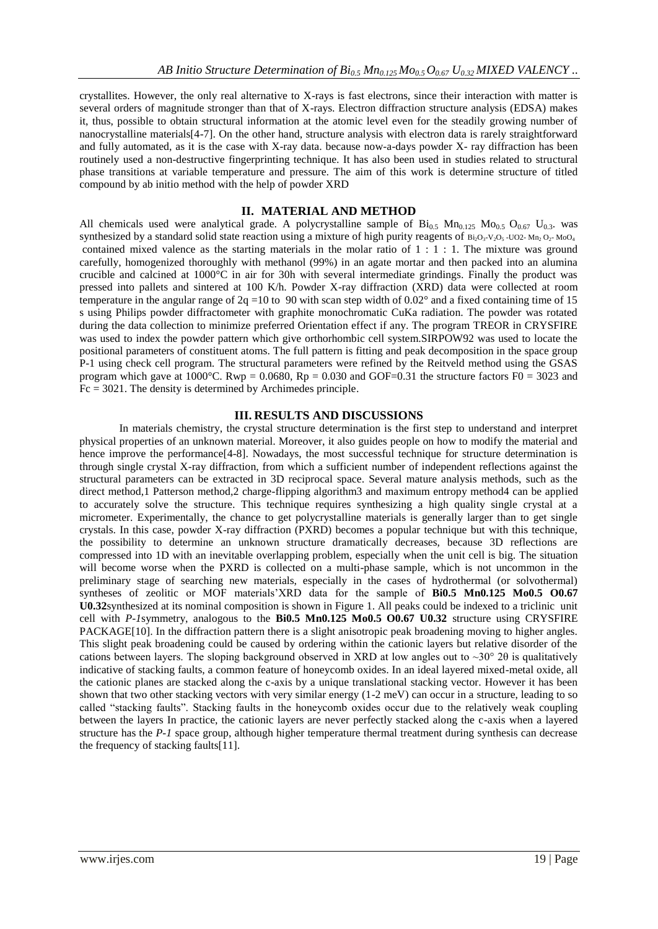crystallites. However, the only real alternative to X-rays is fast electrons, since their interaction with matter is several orders of magnitude stronger than that of X-rays. Electron diffraction structure analysis (EDSA) makes it, thus, possible to obtain structural information at the atomic level even for the steadily growing number of nanocrystalline materials[4-7]. On the other hand, structure analysis with electron data is rarely straightforward and fully automated, as it is the case with X-ray data. because now-a-days powder X- ray diffraction has been routinely used a non-destructive fingerprinting technique. It has also been used in studies related to structural phase transitions at variable temperature and pressure. The aim of this work is determine structure of titled compound by ab initio method with the help of powder XRD

## **II. MATERIAL AND METHOD**

All chemicals used were analytical grade. A polycrystalline sample of  $Bi_{0.5}$  Mn<sub>0.125</sub> Mo<sub>0.5</sub> O<sub>0.67</sub> U<sub>0.3</sub>. was synthesized by a standard solid state reaction using a mixture of high purity reagents of  $B_{12}O_3-V_2O_5$  -UO2- M<sub>n2</sub> O<sub>2</sub>- MoO<sub>4</sub> contained mixed valence as the starting materials in the molar ratio of 1 : 1 : 1. The mixture was ground carefully, homogenized thoroughly with methanol (99%) in an agate mortar and then packed into an alumina crucible and calcined at 1000°C in air for 30h with several intermediate grindings. Finally the product was pressed into pallets and sintered at 100 K/h. Powder X-ray diffraction (XRD) data were collected at room temperature in the angular range of  $2q = 10$  to 90 with scan step width of  $0.02^{\circ}$  and a fixed containing time of 15 s using Philips powder diffractometer with graphite monochromatic CuKa radiation. The powder was rotated during the data collection to minimize preferred Orientation effect if any. The program TREOR in CRYSFIRE was used to index the powder pattern which give orthorhombic cell system.SIRPOW92 was used to locate the positional parameters of constituent atoms. The full pattern is fitting and peak decomposition in the space group P-1 using check cell program. The structural parameters were refined by the Reitveld method using the GSAS program which gave at 1000°C. Rwp = 0.0680, Rp = 0.030 and GOF=0.31 the structure factors F0 = 3023 and Fc = 3021. The density is determined by Archimedes principle.

### **III. RESULTS AND DISCUSSIONS**

In materials chemistry, the crystal structure determination is the first step to understand and interpret physical properties of an unknown material. Moreover, it also guides people on how to modify the material and hence improve the performance<sup>[4-8]</sup>. Nowadays, the most successful technique for structure determination is through single crystal X-ray diffraction, from which a sufficient number of independent reflections against the structural parameters can be extracted in 3D reciprocal space. Several mature analysis methods, such as the direct method,1 Patterson method,2 charge-flipping algorithm3 and maximum entropy method4 can be applied to accurately solve the structure. This technique requires synthesizing a high quality single crystal at a micrometer. Experimentally, the chance to get polycrystalline materials is generally larger than to get single crystals. In this case, powder X-ray diffraction (PXRD) becomes a popular technique but with this technique, the possibility to determine an unknown structure dramatically decreases, because 3D reflections are compressed into 1D with an inevitable overlapping problem, especially when the unit cell is big. The situation will become worse when the PXRD is collected on a multi-phase sample, which is not uncommon in the preliminary stage of searching new materials, especially in the cases of hydrothermal (or solvothermal) syntheses of zeolitic or MOF materials'XRD data for the sample of **Bi0.5 Mn0.125 Mo0.5 O0.67 U0.32**synthesized at its nominal composition is shown in Figure 1. All peaks could be indexed to a triclinic unit cell with *P-1*symmetry, analogous to the **Bi0.5 Mn0.125 Mo0.5 O0.67 U0.32** structure using CRYSFIRE PACKAGE<sup>[10]</sup>. In the diffraction pattern there is a slight anisotropic peak broadening moving to higher angles. This slight peak broadening could be caused by ordering within the cationic layers but relative disorder of the cations between layers. The sloping background observed in XRD at low angles out to  $\sim$ 30° 20 is qualitatively indicative of stacking faults, a common feature of honeycomb oxides. In an ideal layered mixed-metal oxide, all the cationic planes are stacked along the c-axis by a unique translational stacking vector. However it has been shown that two other stacking vectors with very similar energy (1-2 meV) can occur in a structure, leading to so called "stacking faults". Stacking faults in the honeycomb oxides occur due to the relatively weak coupling between the layers In practice, the cationic layers are never perfectly stacked along the c-axis when a layered structure has the *P-1* space group, although higher temperature thermal treatment during synthesis can decrease the frequency of stacking faults[11].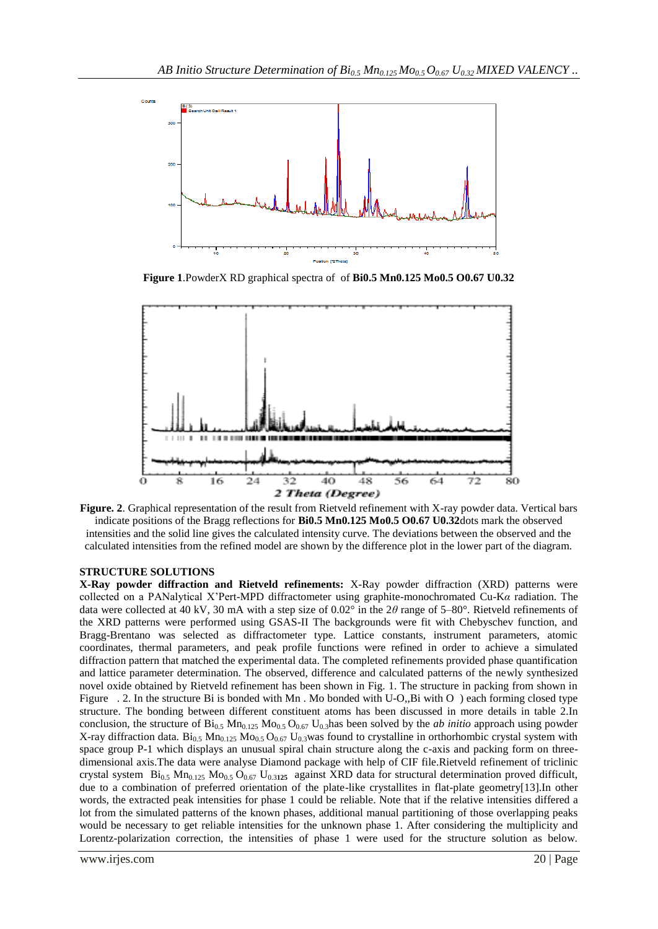

**Figure 1**.PowderX RD graphical spectra of of **Bi0.5 Mn0.125 Mo0.5 O0.67 U0.32**



**Figure. 2**. Graphical representation of the result from Rietveld refinement with X-ray powder data. Vertical bars indicate positions of the Bragg reflections for **Bi0.5 Mn0.125 Mo0.5 O0.67 U0.32**dots mark the observed intensities and the solid line gives the calculated intensity curve. The deviations between the observed and the calculated intensities from the refined model are shown by the difference plot in the lower part of the diagram.

### **STRUCTURE SOLUTIONS**

**X-Ray powder diffraction and Rietveld refinements:** X-Ray powder diffraction (XRD) patterns were collected on a PANalytical X'Pert-MPD diffractometer using graphite-monochromated Cu-K*α* radiation. The data were collected at 40 kV, 30 mA with a step size of 0.02° in the 2*θ* range of 5–80°. Rietveld refinements of the XRD patterns were performed using GSAS-II The backgrounds were fit with Chebyschev function, and Bragg-Brentano was selected as diffractometer type. Lattice constants, instrument parameters, atomic coordinates, thermal parameters, and peak profile functions were refined in order to achieve a simulated diffraction pattern that matched the experimental data. The completed refinements provided phase quantification and lattice parameter determination. The observed, difference and calculated patterns of the newly synthesized novel oxide obtained by Rietveld refinement has been shown in Fig. 1. The structure in packing from shown in Figure . 2. In the structure Bi is bonded with Mn . Mo bonded with U-O,,Bi with O ) each forming closed type structure. The bonding between different constituent atoms has been discussed in more details in table 2.In conclusion, the structure of  $Bi_{0.5}$  Mn<sub>0.125</sub> Mo<sub>0.5</sub> O<sub>0.67</sub> U<sub>0.3</sub>has been solved by the *ab initio* approach using powder X-ray diffraction data.  $Bi_{0.5}$  Mn<sub>0.125</sub> Mo<sub>0.5</sub> O<sub>0.67</sub> U<sub>0.3</sub>was found to crystalline in orthorhombic crystal system with space group P-1 which displays an unusual spiral chain structure along the c-axis and packing form on threedimensional axis.The data were analyse Diamond package with help of CIF file.Rietveld refinement of triclinic crystal system Bi<sub>0.5</sub> Mn<sub>0.125</sub> Mo<sub>0.5</sub> O<sub>0.67</sub> U<sub>0.3125</sub> against XRD data for structural determination proved difficult, due to a combination of preferred orientation of the plate-like crystallites in flat-plate geometry[13].In other words, the extracted peak intensities for phase 1 could be reliable. Note that if the relative intensities differed a lot from the simulated patterns of the known phases, additional manual partitioning of those overlapping peaks would be necessary to get reliable intensities for the unknown phase 1. After considering the multiplicity and Lorentz-polarization correction, the intensities of phase 1 were used for the structure solution as below.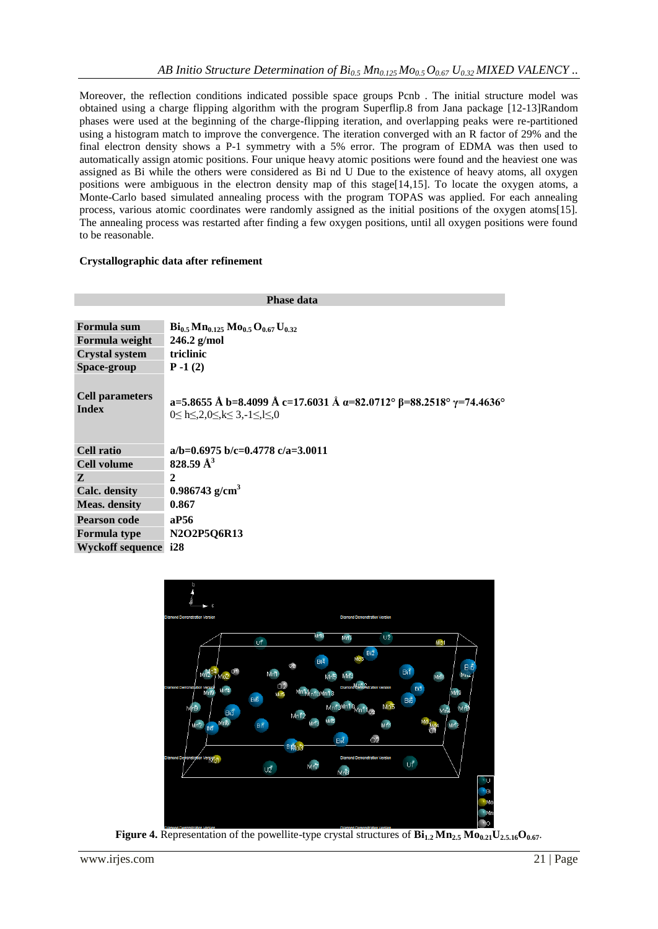Moreover, the reflection conditions indicated possible space groups Pcnb . The initial structure model was obtained using a charge flipping algorithm with the program Superflip.8 from Jana package [12-13]Random phases were used at the beginning of the charge-flipping iteration, and overlapping peaks were re-partitioned using a histogram match to improve the convergence. The iteration converged with an R factor of 29% and the final electron density shows a P-1 symmetry with a 5% error. The program of EDMA was then used to automatically assign atomic positions. Four unique heavy atomic positions were found and the heaviest one was assigned as Bi while the others were considered as Bi nd U Due to the existence of heavy atoms, all oxygen positions were ambiguous in the electron density map of this stage[14,15]. To locate the oxygen atoms, a Monte-Carlo based simulated annealing process with the program TOPAS was applied. For each annealing process, various atomic coordinates were randomly assigned as the initial positions of the oxygen atoms[15]. The annealing process was restarted after finding a few oxygen positions, until all oxygen positions were found to be reasonable.

### **Crystallographic data after refinement**

| <b>Phase data</b>                      |                                                                                                                                     |  |  |  |  |
|----------------------------------------|-------------------------------------------------------------------------------------------------------------------------------------|--|--|--|--|
|                                        |                                                                                                                                     |  |  |  |  |
| Formula sum                            | $\rm{Bi}_{0.5}Mn_{0.125}Mo_{0.5}O_{0.67}U_{0.32}$                                                                                   |  |  |  |  |
| Formula weight                         | $246.2$ g/mol                                                                                                                       |  |  |  |  |
| <b>Crystal system</b>                  | triclinic                                                                                                                           |  |  |  |  |
| Space-group                            | $P - 1(2)$                                                                                                                          |  |  |  |  |
| <b>Cell parameters</b><br><b>Index</b> | a=5.8655 Å b=8.4099 Å c=17.6031 Å a=82.0712° $\beta$ =88.2518° $\gamma$ =74.4636°<br>$0 \le h \le 2, 0 \le k \le 3, -1 \le k \le 0$ |  |  |  |  |
| Cell ratio                             | a/b=0.6975 b/c=0.4778 c/a=3.0011                                                                                                    |  |  |  |  |
| <b>Cell volume</b>                     | 828.59 Å <sup>3</sup>                                                                                                               |  |  |  |  |
| Z                                      | 2                                                                                                                                   |  |  |  |  |
| <b>Calc.</b> density                   | $0.986743$ g/cm <sup>3</sup>                                                                                                        |  |  |  |  |
| <b>Meas.</b> density                   | 0.867                                                                                                                               |  |  |  |  |
| <b>Pearson code</b>                    | aP56                                                                                                                                |  |  |  |  |
| <b>Formula type</b>                    | N2O2P5Q6R13                                                                                                                         |  |  |  |  |
| <b>Wyckoff sequence</b>                | i28                                                                                                                                 |  |  |  |  |



**Figure 4.** Representation of the powellite-type crystal structures of  $\mathbf{Bi}_{1,2}\mathbf{Mn}_{2,5}\mathbf{Mo}_{0,21}\mathbf{U}_{2,5,16}\mathbf{O}_{0,67}$ .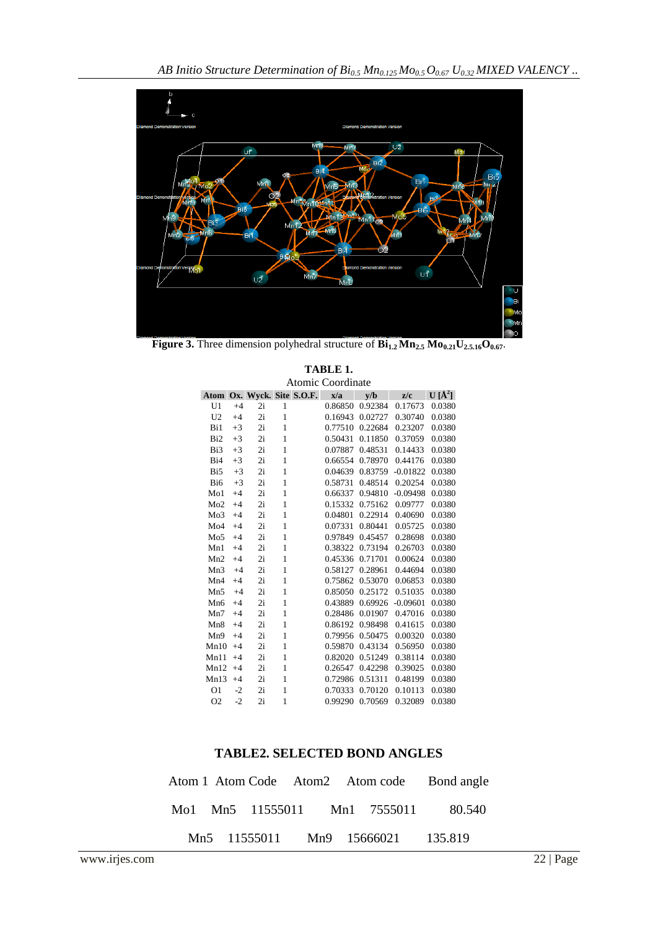

**Figure 3.** Three dimension polyhedral structure of **Bi1.2 Mn2.5 Mo0.21U2.5.16O0.67**.

|                 | Atomic Coordinate |    |              |                            |         |         |            |            |
|-----------------|-------------------|----|--------------|----------------------------|---------|---------|------------|------------|
|                 |                   |    |              | Atom Ox. Wyck. Site S.O.F. | x/a     | v/b     | z/c        | $U[\AA^2]$ |
| U <sub>1</sub>  | $+4$              | 2i | 1            |                            | 0.86850 | 0.92384 | 0.17673    | 0.0380     |
| U <sub>2</sub>  | $+4$              | 2i | $\mathbf{1}$ |                            | 0.16943 | 0.02727 | 0.30740    | 0.0380     |
| Bi1             | $+3$              | 2i | $\mathbf{1}$ |                            | 0.77510 | 0.22684 | 0.23207    | 0.0380     |
| Bi <sub>2</sub> | $+3$              | 2i | $\mathbf{1}$ |                            | 0.50431 | 0.11850 | 0.37059    | 0.0380     |
| Bi3             | $+3$              | 2i | $\mathbf{1}$ |                            | 0.07887 | 0.48531 | 0.14433    | 0.0380     |
| Bi <sub>4</sub> | $+3$              | 2i | $\mathbf{1}$ |                            | 0.66554 | 0.78970 | 0.44176    | 0.0380     |
| Bi <sub>5</sub> | $+3$              | 2i | $\mathbf{1}$ |                            | 0.04639 | 0.83759 | $-0.01822$ | 0.0380     |
| Bi <sub>6</sub> | $+3$              | 2i | $\mathbf{1}$ |                            | 0.58731 | 0.48514 | 0.20254    | 0.0380     |
| Mo1             | $+4$              | 2i | $\mathbf{1}$ |                            | 0.66337 | 0.94810 | $-0.09498$ | 0.0380     |
| Mo2             | $+4$              | 2i | $\mathbf{1}$ |                            | 0.15332 | 0.75162 | 0.09777    | 0.0380     |
| Mo3             | $+4$              | 2i | $\mathbf{1}$ |                            | 0.04801 | 0.22914 | 0.40690    | 0.0380     |
| Mo4             | $+4$              | 2i | $\mathbf{1}$ |                            | 0.07331 | 0.80441 | 0.05725    | 0.0380     |
| Mo <sub>5</sub> | $+4$              | 2i | $\mathbf{1}$ |                            | 0.97849 | 0.45457 | 0.28698    | 0.0380     |
| Mn1             | $+4$              | 2i | $\mathbf{1}$ |                            | 0.38322 | 0.73194 | 0.26703    | 0.0380     |
| Mn2             | $+4$              | 2i | $\mathbf{1}$ |                            | 0.45336 | 0.71701 | 0.00624    | 0.0380     |
| Mn3             | $+4$              | 2i | $\mathbf{1}$ |                            | 0.58127 | 0.28961 | 0.44694    | 0.0380     |
| Mn4             | $+4$              | 2i | $\mathbf{1}$ |                            | 0.75862 | 0.53070 | 0.06853    | 0.0380     |
| Mn5             | $+4$              | 2i | $\mathbf{1}$ |                            | 0.85050 | 0.25172 | 0.51035    | 0.0380     |
| Mn <sub>6</sub> | $+4$              | 2i | $\mathbf{1}$ |                            | 0.43889 | 0.69926 | $-0.09601$ | 0.0380     |
| Mn7             | $+4$              | 2i | $\mathbf{1}$ |                            | 0.28486 | 0.01907 | 0.47016    | 0.0380     |
| Mn <sub>8</sub> | $+4$              | 2i | $\mathbf{1}$ |                            | 0.86192 | 0.98498 | 0.41615    | 0.0380     |
| Mn9             | $+4$              | 2i | $\mathbf{1}$ |                            | 0.79956 | 0.50475 | 0.00320    | 0.0380     |
| Mn10            | $+4$              | 2i | 1            |                            | 0.59870 | 0.43134 | 0.56950    | 0.0380     |
| Mn11            | $+4$              | 2i | $\mathbf{1}$ |                            | 0.82020 | 0.51249 | 0.38114    | 0.0380     |
| Mn12            | $+4$              | 2i | $\mathbf{1}$ |                            | 0.26547 | 0.42298 | 0.39025    | 0.0380     |
| Mn13            | $+4$              | 2i | $\mathbf{1}$ |                            | 0.72986 | 0.51311 | 0.48199    | 0.0380     |
| O <sub>1</sub>  | $-2$              | 2i | $\mathbf{1}$ |                            | 0.70333 | 0.70120 | 0.10113    | 0.0380     |
| O <sub>2</sub>  | $-2$              | 2i | $\mathbf{1}$ |                            | 0.99290 | 0.70569 | 0.32089    | 0.0380     |

# **TABLE 1.**

## **TABLE2. SELECTED BOND ANGLES**

|  |  |                                   | Atom 1 Atom Code Atom 2 Atom code Bond angle |
|--|--|-----------------------------------|----------------------------------------------|
|  |  |                                   | Mol Mn5 11555011 Mn1 7555011 80.540          |
|  |  | Mn5 11555011 Mn9 15666021 135.819 |                                              |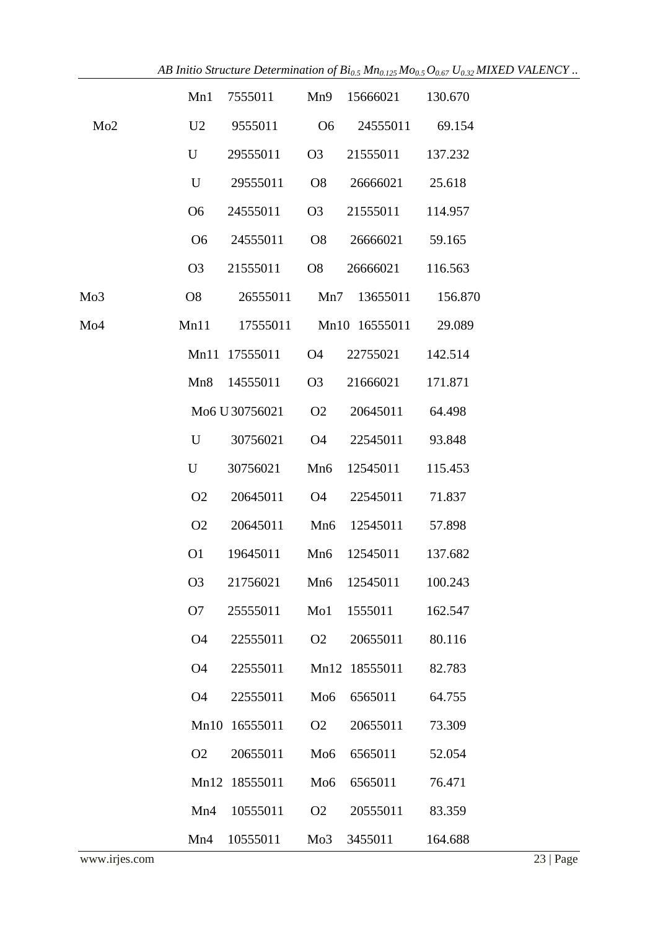|     |                | Mn1 7555011           |                  | Mn9 15666021 130.670               |         |
|-----|----------------|-----------------------|------------------|------------------------------------|---------|
| Mo2 | U <sub>2</sub> | 9555011 O6            |                  | 24555011 69.154                    |         |
|     | U              | 29555011              | O <sub>3</sub>   | 21555011 137.232                   |         |
|     | U              | 29555011              | O <sub>8</sub>   | 26666021                           | 25.618  |
|     | O <sub>6</sub> | 24555011              | O <sub>3</sub>   | 21555011                           | 114.957 |
|     | O <sub>6</sub> | 24555011              | <b>O8</b>        | 26666021                           | 59.165  |
|     | O <sub>3</sub> | 21555011              | O8               | 26666021                           | 116.563 |
| Mo3 | O8             |                       |                  | 26555011 Mn7 13655011 156.870      |         |
| Mo4 |                |                       |                  | Mn11 17555011 Mn10 16555011 29.089 |         |
|     |                | Mn11 17555011 O4      |                  | 22755021                           | 142.514 |
|     |                | Mn8 14555011          | O <sub>3</sub>   | 21666021                           | 171.871 |
|     |                |                       |                  | Mo6 U 30756021 02 20645011         | 64.498  |
|     | U              | 30756021              | <b>O4</b>        | 22545011                           | 93.848  |
|     | $\mathbf U$    | 30756021              | Mn6              | 12545011                           | 115.453 |
|     | O <sub>2</sub> | 20645011              |                  | 04 22545011                        | 71.837  |
|     | O <sub>2</sub> | 20645011              |                  | Mn6 12545011                       | 57.898  |
|     | O <sub>1</sub> | 19645011              |                  | Mn6 12545011 137.682               |         |
|     | O <sub>3</sub> | 21756021 Mn6 12545011 |                  |                                    | 100.243 |
|     | O <sub>7</sub> | 25555011              | M <sub>0</sub> 1 | 1555011                            | 162.547 |
|     | <b>O4</b>      | 22555011              | O <sub>2</sub>   | 20655011                           | 80.116  |
|     | O4             | 22555011              | Mn12             | 18555011                           | 82.783  |
|     | O4             | 22555011              | M <sub>0</sub> 6 | 6565011                            | 64.755  |
|     | Mn10           | 16555011              | O <sub>2</sub>   | 20655011                           | 73.309  |
|     | O <sub>2</sub> | 20655011              | Mo <sub>6</sub>  | 6565011                            | 52.054  |
|     | Mn12           | 18555011              | Mo <sub>6</sub>  | 6565011                            | 76.471  |
|     | Mn4            | 10555011              | O <sub>2</sub>   | 20555011                           | 83.359  |
|     | Mn4            | 10555011              | Mo3              | 3455011                            | 164.688 |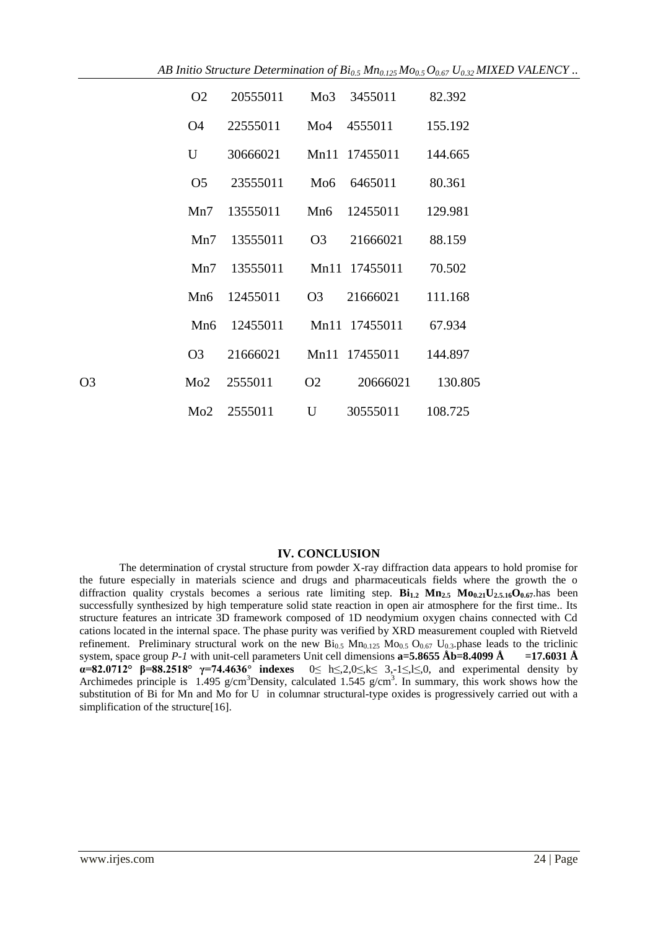|                | O <sub>2</sub>  | 20555011 | Mo3             | 3455011       | 82.392  |
|----------------|-----------------|----------|-----------------|---------------|---------|
|                | <b>O4</b>       | 22555011 | Mo4             | 4555011       | 155.192 |
|                | U               | 30666021 |                 | Mn11 17455011 | 144.665 |
|                | O <sub>5</sub>  | 23555011 | M <sub>06</sub> | 6465011       | 80.361  |
|                | Mn7             | 13555011 | Mn6             | 12455011      | 129.981 |
|                | Mn7             | 13555011 | O <sub>3</sub>  | 21666021      | 88.159  |
|                | Mn7             | 13555011 |                 | Mn11 17455011 | 70.502  |
|                | Mn6             | 12455011 | O <sub>3</sub>  | 21666021      | 111.168 |
|                | Mn <sub>6</sub> | 12455011 |                 | Mn11 17455011 | 67.934  |
|                | O <sub>3</sub>  | 21666021 |                 | Mn11 17455011 | 144.897 |
| O <sub>3</sub> | Mo2             | 2555011  | O <sub>2</sub>  | 20666021      | 130.805 |
|                | Mo2             | 2555011  | U               | 30555011      | 108.725 |

#### **IV. CONCLUSION**

The determination of crystal structure from powder X-ray diffraction data appears to hold promise for the future especially in materials science and drugs and pharmaceuticals fields where the growth the o diffraction quality crystals becomes a serious rate limiting step. **Bi1.2 Mn2.5 Mo0.21U2.5.16O0.67**.has been successfully synthesized by high temperature solid state reaction in open air atmosphere for the first time.. Its structure features an intricate 3D framework composed of 1D neodymium oxygen chains connected with Cd cations located in the internal space. The phase purity was verified by XRD measurement coupled with Rietveld refinement. Preliminary structural work on the new  $\text{Bi}_{0.5} \text{ M}_{0.125} \text{ Mo}_{0.5} \text{O}_{0.67} \text{U}_{0.3}$ .phase leads to the triclinic system, space group *P-1* with unit-cell parameters Unit cell dimensions **a=5.8655 Åb=8.4099 Å =17.6031 Å α=82.0712° β=88.2518° γ=74.4636° indexes** 0≤ h≤,2,0≤,k≤ 3,-1≤,l≤,0, and experimental density by Archimedes principle is  $1.495$  g/cm<sup>3</sup>Density, calculated  $1.545$  g/cm<sup>3</sup>. In summary, this work shows how the substitution of Bi for Mn and Mo for U in columnar structural-type oxides is progressively carried out with a simplification of the structure[16].